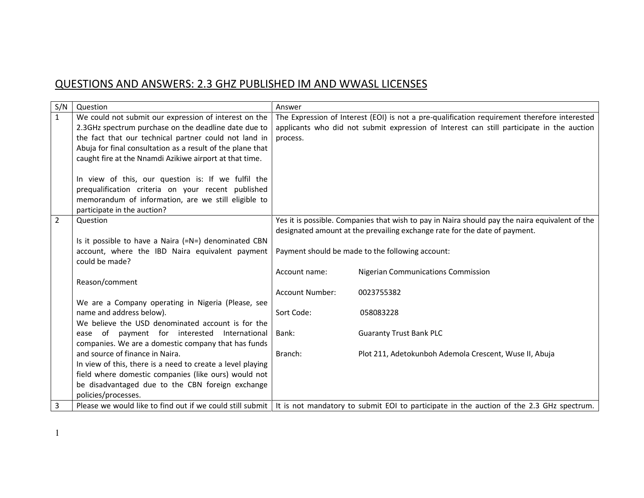## QUESTIONS AND ANSWERS: 2.3 GHZ PUBLISHED IM AND WWASL LICENSES

| S/N            | Question                                                   | Answer                 |                                                                                                                                                      |
|----------------|------------------------------------------------------------|------------------------|------------------------------------------------------------------------------------------------------------------------------------------------------|
| $\mathbf{1}$   | We could not submit our expression of interest on the      |                        | The Expression of Interest (EOI) is not a pre-qualification requirement therefore interested                                                         |
|                | 2.3GHz spectrum purchase on the deadline date due to       |                        | applicants who did not submit expression of Interest can still participate in the auction                                                            |
|                | the fact that our technical partner could not land in      | process.               |                                                                                                                                                      |
|                | Abuja for final consultation as a result of the plane that |                        |                                                                                                                                                      |
|                | caught fire at the Nnamdi Azikiwe airport at that time.    |                        |                                                                                                                                                      |
|                |                                                            |                        |                                                                                                                                                      |
|                | In view of this, our question is: If we fulfil the         |                        |                                                                                                                                                      |
|                | prequalification criteria on your recent published         |                        |                                                                                                                                                      |
|                | memorandum of information, are we still eligible to        |                        |                                                                                                                                                      |
|                | participate in the auction?                                |                        |                                                                                                                                                      |
| $\overline{2}$ | Question                                                   |                        | Yes it is possible. Companies that wish to pay in Naira should pay the naira equivalent of the                                                       |
|                |                                                            |                        | designated amount at the prevailing exchange rate for the date of payment.                                                                           |
|                | Is it possible to have a Naira (=N=) denominated CBN       |                        |                                                                                                                                                      |
|                | account, where the IBD Naira equivalent payment            |                        | Payment should be made to the following account:                                                                                                     |
|                | could be made?                                             |                        |                                                                                                                                                      |
|                |                                                            | Account name:          | <b>Nigerian Communications Commission</b>                                                                                                            |
|                | Reason/comment                                             | <b>Account Number:</b> | 0023755382                                                                                                                                           |
|                | We are a Company operating in Nigeria (Please, see         |                        |                                                                                                                                                      |
|                | name and address below).                                   | Sort Code:             | 058083228                                                                                                                                            |
|                | We believe the USD denominated account is for the          |                        |                                                                                                                                                      |
|                | ease of payment for interested International               | Bank:                  | <b>Guaranty Trust Bank PLC</b>                                                                                                                       |
|                | companies. We are a domestic company that has funds        |                        |                                                                                                                                                      |
|                | and source of finance in Naira.                            | Branch:                | Plot 211, Adetokunboh Ademola Crescent, Wuse II, Abuja                                                                                               |
|                | In view of this, there is a need to create a level playing |                        |                                                                                                                                                      |
|                | field where domestic companies (like ours) would not       |                        |                                                                                                                                                      |
|                | be disadvantaged due to the CBN foreign exchange           |                        |                                                                                                                                                      |
|                | policies/processes.                                        |                        |                                                                                                                                                      |
| 3              |                                                            |                        | Please we would like to find out if we could still submit   It is not mandatory to submit EOI to participate in the auction of the 2.3 GHz spectrum. |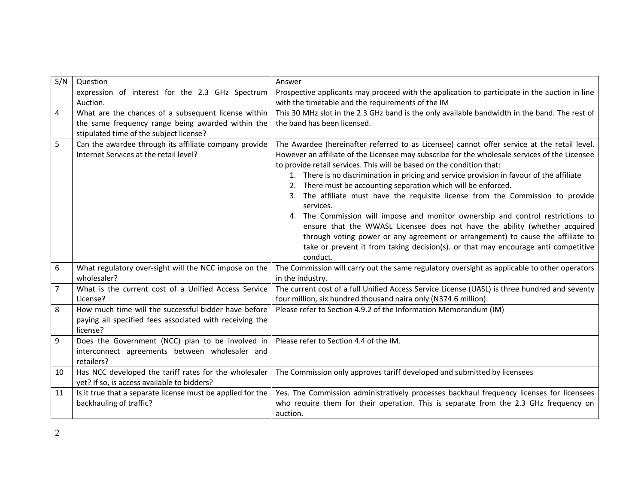| S/N            | Question                                                   | Answer                                                                                        |
|----------------|------------------------------------------------------------|-----------------------------------------------------------------------------------------------|
|                | expression of interest for the 2.3 GHz Spectrum            | Prospective applicants may proceed with the application to participate in the auction in line |
|                | Auction.                                                   | with the timetable and the requirements of the IM                                             |
| 4              | What are the chances of a subsequent license within        | This 30 MHz slot in the 2.3 GHz band is the only available bandwidth in the band. The rest of |
|                | the same frequency range being awarded within the          | the band has been licensed.                                                                   |
|                | stipulated time of the subject license?                    |                                                                                               |
| 5              | Can the awardee through its affiliate company provide      | The Awardee (hereinafter referred to as Licensee) cannot offer service at the retail level.   |
|                | Internet Services at the retail level?                     | However an affiliate of the Licensee may subscribe for the wholesale services of the Licensee |
|                |                                                            | to provide retail services. This will be based on the condition that:                         |
|                |                                                            | 1. There is no discrimination in pricing and service provision in favour of the affiliate     |
|                |                                                            | There must be accounting separation which will be enforced.                                   |
|                |                                                            | The affiliate must have the requisite license from the Commission to provide<br>services.     |
|                |                                                            | 4. The Commission will impose and monitor ownership and control restrictions to               |
|                |                                                            | ensure that the WWASL Licensee does not have the ability (whether acquired                    |
|                |                                                            | through voting power or any agreement or arrangement) to cause the affiliate to               |
|                |                                                            | take or prevent it from taking decision(s). or that may encourage anti competitive            |
|                |                                                            | conduct.                                                                                      |
| 6              | What regulatory over-sight will the NCC impose on the      | The Commission will carry out the same regulatory oversight as applicable to other operators  |
|                | wholesaler?                                                | in the industry.                                                                              |
| $\overline{7}$ | What is the current cost of a Unified Access Service       | The current cost of a full Unified Access Service License (UASL) is three hundred and seventy |
|                | License?                                                   | four million, six hundred thousand naira only (N374.6 million).                               |
| 8              | How much time will the successful bidder have before       | Please refer to Section 4.9.2 of the Information Memorandum (IM)                              |
|                | paying all specified fees associated with receiving the    |                                                                                               |
|                | license?                                                   |                                                                                               |
| 9              | Does the Government (NCC) plan to be involved in           | Please refer to Section 4.4 of the IM.                                                        |
|                | interconnect agreements between wholesaler and             |                                                                                               |
|                | retailers?                                                 |                                                                                               |
| 10             | Has NCC developed the tariff rates for the wholesaler      | The Commission only approves tariff developed and submitted by licensees                      |
|                | yet? If so, is access available to bidders?                |                                                                                               |
| 11             | Is it true that a separate license must be applied for the | Yes. The Commission administratively processes backhaul frequency licenses for licensees      |
|                | backhauling of traffic?                                    | who require them for their operation. This is separate from the 2.3 GHz frequency on          |
|                |                                                            | auction.                                                                                      |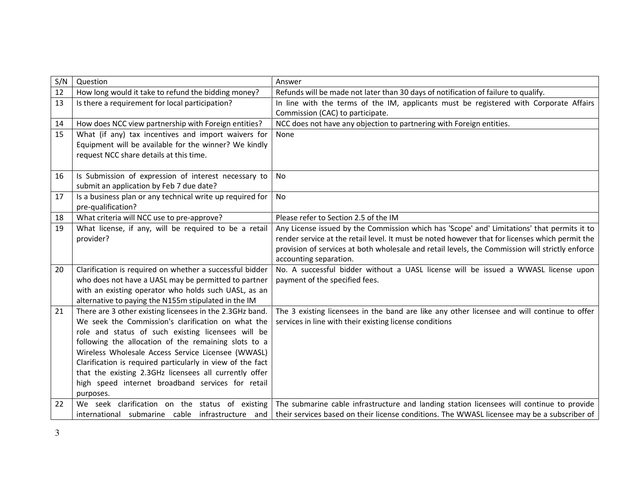| S/N | Question                                                                                                       | Answer                                                                                                                                                 |
|-----|----------------------------------------------------------------------------------------------------------------|--------------------------------------------------------------------------------------------------------------------------------------------------------|
| 12  | How long would it take to refund the bidding money?                                                            | Refunds will be made not later than 30 days of notification of failure to qualify.                                                                     |
| 13  | Is there a requirement for local participation?                                                                | In line with the terms of the IM, applicants must be registered with Corporate Affairs                                                                 |
|     |                                                                                                                | Commission (CAC) to participate.                                                                                                                       |
| 14  | How does NCC view partnership with Foreign entities?                                                           | NCC does not have any objection to partnering with Foreign entities.                                                                                   |
| 15  | What (if any) tax incentives and import waivers for                                                            | None                                                                                                                                                   |
|     | Equipment will be available for the winner? We kindly                                                          |                                                                                                                                                        |
|     | request NCC share details at this time.                                                                        |                                                                                                                                                        |
|     |                                                                                                                |                                                                                                                                                        |
| 16  | Is Submission of expression of interest necessary to                                                           | No                                                                                                                                                     |
|     | submit an application by Feb 7 due date?                                                                       |                                                                                                                                                        |
| 17  | Is a business plan or any technical write up required for                                                      | No                                                                                                                                                     |
|     | pre-qualification?                                                                                             |                                                                                                                                                        |
| 18  | What criteria will NCC use to pre-approve?                                                                     | Please refer to Section 2.5 of the IM                                                                                                                  |
| 19  | What license, if any, will be required to be a retail                                                          | Any License issued by the Commission which has 'Scope' and' Limitations' that permits it to                                                            |
|     | provider?                                                                                                      | render service at the retail level. It must be noted however that for licenses which permit the                                                        |
|     |                                                                                                                | provision of services at both wholesale and retail levels, the Commission will strictly enforce                                                        |
|     |                                                                                                                | accounting separation.                                                                                                                                 |
| 20  | Clarification is required on whether a successful bidder                                                       | No. A successful bidder without a UASL license will be issued a WWASL license upon                                                                     |
|     | who does not have a UASL may be permitted to partner                                                           | payment of the specified fees.                                                                                                                         |
|     | with an existing operator who holds such UASL, as an                                                           |                                                                                                                                                        |
|     | alternative to paying the N155m stipulated in the IM                                                           |                                                                                                                                                        |
| 21  | There are 3 other existing licensees in the 2.3GHz band.<br>We seek the Commission's clarification on what the | The 3 existing licensees in the band are like any other licensee and will continue to offer<br>services in line with their existing license conditions |
|     | role and status of such existing licensees will be                                                             |                                                                                                                                                        |
|     | following the allocation of the remaining slots to a                                                           |                                                                                                                                                        |
|     | Wireless Wholesale Access Service Licensee (WWASL)                                                             |                                                                                                                                                        |
|     | Clarification is required particularly in view of the fact                                                     |                                                                                                                                                        |
|     | that the existing 2.3GHz licensees all currently offer                                                         |                                                                                                                                                        |
|     | high speed internet broadband services for retail                                                              |                                                                                                                                                        |
|     | purposes.                                                                                                      |                                                                                                                                                        |
| 22  |                                                                                                                | We seek clarification on the status of existing   The submarine cable infrastructure and landing station licensees will continue to provide            |
|     |                                                                                                                | international submarine cable infrastructure and their services based on their license conditions. The WWASL licensee may be a subscriber of           |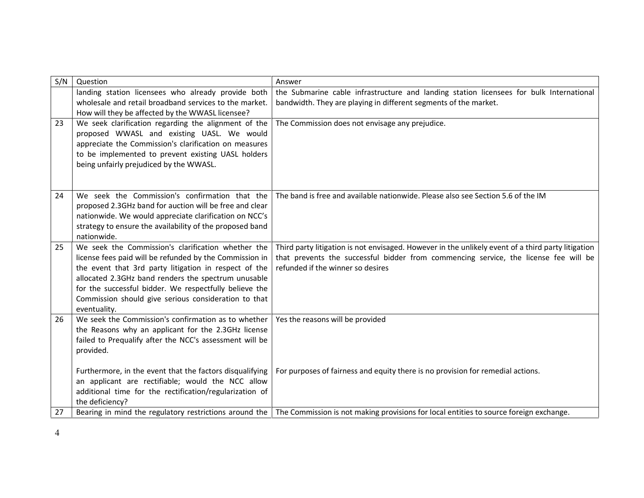| S/N | Question                                                                                                     | Answer                                                                                                                                            |
|-----|--------------------------------------------------------------------------------------------------------------|---------------------------------------------------------------------------------------------------------------------------------------------------|
|     | landing station licensees who already provide both                                                           | the Submarine cable infrastructure and landing station licensees for bulk International                                                           |
|     | wholesale and retail broadband services to the market.                                                       | bandwidth. They are playing in different segments of the market.                                                                                  |
| 23  | How will they be affected by the WWASL licensee?<br>We seek clarification regarding the alignment of the     | The Commission does not envisage any prejudice.                                                                                                   |
|     | proposed WWASL and existing UASL. We would                                                                   |                                                                                                                                                   |
|     | appreciate the Commission's clarification on measures                                                        |                                                                                                                                                   |
|     | to be implemented to prevent existing UASL holders                                                           |                                                                                                                                                   |
|     | being unfairly prejudiced by the WWASL.                                                                      |                                                                                                                                                   |
|     |                                                                                                              |                                                                                                                                                   |
|     | We seek the Commission's confirmation that the                                                               | The band is free and available nationwide. Please also see Section 5.6 of the IM                                                                  |
| 24  | proposed 2.3GHz band for auction will be free and clear                                                      |                                                                                                                                                   |
|     | nationwide. We would appreciate clarification on NCC's                                                       |                                                                                                                                                   |
|     | strategy to ensure the availability of the proposed band                                                     |                                                                                                                                                   |
|     | nationwide.                                                                                                  |                                                                                                                                                   |
| 25  | We seek the Commission's clarification whether the                                                           | Third party litigation is not envisaged. However in the unlikely event of a third party litigation                                                |
|     | license fees paid will be refunded by the Commission in                                                      | that prevents the successful bidder from commencing service, the license fee will be                                                              |
|     | the event that 3rd party litigation in respect of the<br>allocated 2.3GHz band renders the spectrum unusable | refunded if the winner so desires                                                                                                                 |
|     | for the successful bidder. We respectfully believe the                                                       |                                                                                                                                                   |
|     | Commission should give serious consideration to that                                                         |                                                                                                                                                   |
|     | eventuality.                                                                                                 |                                                                                                                                                   |
| 26  | We seek the Commission's confirmation as to whether                                                          | Yes the reasons will be provided                                                                                                                  |
|     | the Reasons why an applicant for the 2.3GHz license                                                          |                                                                                                                                                   |
|     | failed to Prequalify after the NCC's assessment will be                                                      |                                                                                                                                                   |
|     | provided.                                                                                                    |                                                                                                                                                   |
|     | Furthermore, in the event that the factors disqualifying                                                     | For purposes of fairness and equity there is no provision for remedial actions.                                                                   |
|     | an applicant are rectifiable; would the NCC allow                                                            |                                                                                                                                                   |
|     | additional time for the rectification/regularization of                                                      |                                                                                                                                                   |
|     | the deficiency?                                                                                              |                                                                                                                                                   |
| 27  |                                                                                                              | Bearing in mind the regulatory restrictions around the $ $ The Commission is not making provisions for local entities to source foreign exchange. |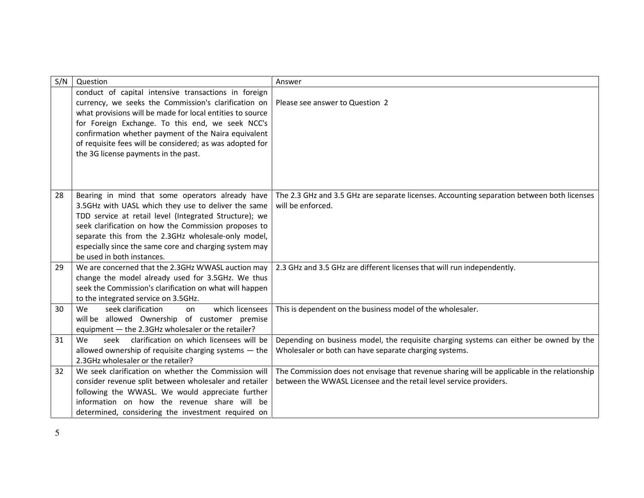| S/N | Question                                                                                                                                                                                                                                                                                                                                                                                  | Answer                                                                                                                                                             |
|-----|-------------------------------------------------------------------------------------------------------------------------------------------------------------------------------------------------------------------------------------------------------------------------------------------------------------------------------------------------------------------------------------------|--------------------------------------------------------------------------------------------------------------------------------------------------------------------|
|     | conduct of capital intensive transactions in foreign<br>currency, we seeks the Commission's clarification on<br>what provisions will be made for local entities to source<br>for Foreign Exchange. To this end, we seek NCC's<br>confirmation whether payment of the Naira equivalent<br>of requisite fees will be considered; as was adopted for<br>the 3G license payments in the past. | Please see answer to Question 2                                                                                                                                    |
| 28  | Bearing in mind that some operators already have<br>3.5GHz with UASL which they use to deliver the same<br>TDD service at retail level (Integrated Structure); we<br>seek clarification on how the Commission proposes to<br>separate this from the 2.3GHz wholesale-only model,<br>especially since the same core and charging system may<br>be used in both instances.                  | The 2.3 GHz and 3.5 GHz are separate licenses. Accounting separation between both licenses<br>will be enforced.                                                    |
| 29  | We are concerned that the 2.3GHz WWASL auction may<br>change the model already used for 3.5GHz. We thus<br>seek the Commission's clarification on what will happen<br>to the integrated service on 3.5GHz.                                                                                                                                                                                | 2.3 GHz and 3.5 GHz are different licenses that will run independently.                                                                                            |
| 30  | which licensees<br>We<br>seek clarification<br>on<br>will be allowed Ownership of customer premise<br>equipment - the 2.3GHz wholesaler or the retailer?                                                                                                                                                                                                                                  | This is dependent on the business model of the wholesaler.                                                                                                         |
| 31  | clarification on which licensees will be<br>seek<br>We<br>allowed ownership of requisite charging systems $-$ the<br>2.3GHz wholesaler or the retailer?                                                                                                                                                                                                                                   | Depending on business model, the requisite charging systems can either be owned by the<br>Wholesaler or both can have separate charging systems.                   |
| 32  | We seek clarification on whether the Commission will<br>consider revenue split between wholesaler and retailer<br>following the WWASL. We would appreciate further<br>information on how the revenue share will be<br>determined, considering the investment required on                                                                                                                  | The Commission does not envisage that revenue sharing will be applicable in the relationship<br>between the WWASL Licensee and the retail level service providers. |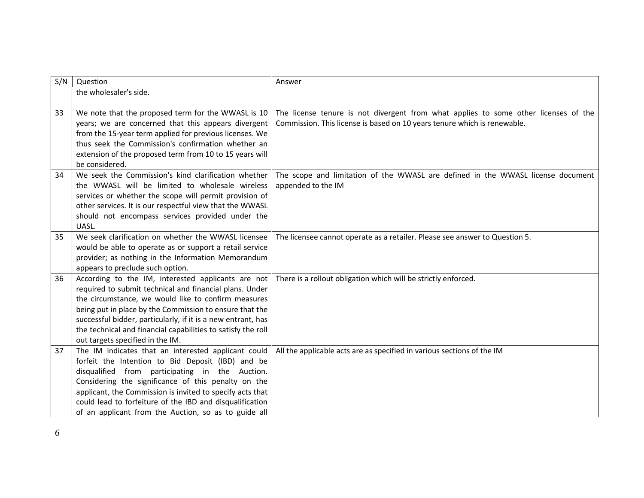| S/N | Question                                                                                                                | Answer                                                                              |
|-----|-------------------------------------------------------------------------------------------------------------------------|-------------------------------------------------------------------------------------|
|     | the wholesaler's side.                                                                                                  |                                                                                     |
|     |                                                                                                                         |                                                                                     |
| 33  | We note that the proposed term for the WWASL is 10                                                                      | The license tenure is not divergent from what applies to some other licenses of the |
|     | years; we are concerned that this appears divergent                                                                     | Commission. This license is based on 10 years tenure which is renewable.            |
|     | from the 15-year term applied for previous licenses. We                                                                 |                                                                                     |
|     | thus seek the Commission's confirmation whether an                                                                      |                                                                                     |
|     | extension of the proposed term from 10 to 15 years will                                                                 |                                                                                     |
|     | be considered.                                                                                                          |                                                                                     |
| 34  | We seek the Commission's kind clarification whether                                                                     | The scope and limitation of the WWASL are defined in the WWASL license document     |
|     | the WWASL will be limited to wholesale wireless                                                                         | appended to the IM                                                                  |
|     | services or whether the scope will permit provision of                                                                  |                                                                                     |
|     | other services. It is our respectful view that the WWASL                                                                |                                                                                     |
|     | should not encompass services provided under the                                                                        |                                                                                     |
|     | UASL.                                                                                                                   |                                                                                     |
| 35  | We seek clarification on whether the WWASL licensee                                                                     | The licensee cannot operate as a retailer. Please see answer to Question 5.         |
|     | would be able to operate as or support a retail service                                                                 |                                                                                     |
|     | provider; as nothing in the Information Memorandum                                                                      |                                                                                     |
|     | appears to preclude such option.                                                                                        |                                                                                     |
| 36  | According to the IM, interested applicants are not                                                                      | There is a rollout obligation which will be strictly enforced.                      |
|     | required to submit technical and financial plans. Under                                                                 |                                                                                     |
|     | the circumstance, we would like to confirm measures                                                                     |                                                                                     |
|     | being put in place by the Commission to ensure that the<br>successful bidder, particularly, if it is a new entrant, has |                                                                                     |
|     | the technical and financial capabilities to satisfy the roll                                                            |                                                                                     |
|     | out targets specified in the IM.                                                                                        |                                                                                     |
| 37  | The IM indicates that an interested applicant could                                                                     | All the applicable acts are as specified in various sections of the IM              |
|     | forfeit the Intention to Bid Deposit (IBD) and be                                                                       |                                                                                     |
|     | disqualified from participating in the Auction.                                                                         |                                                                                     |
|     | Considering the significance of this penalty on the                                                                     |                                                                                     |
|     | applicant, the Commission is invited to specify acts that                                                               |                                                                                     |
|     | could lead to forfeiture of the IBD and disqualification                                                                |                                                                                     |
|     | of an applicant from the Auction, so as to guide all                                                                    |                                                                                     |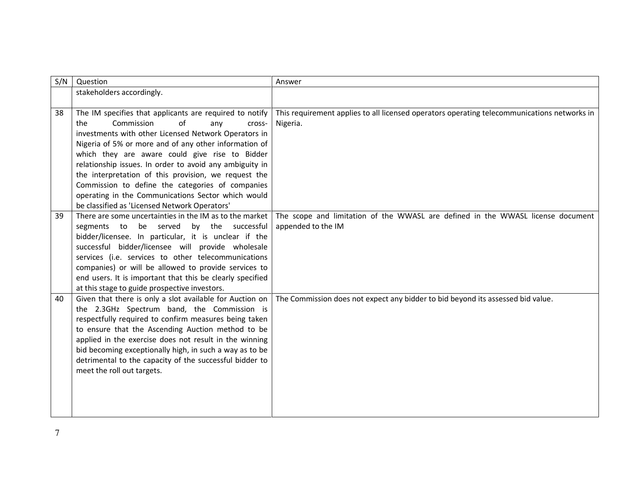| S/N | Question                                                  | Answer                                                                                      |
|-----|-----------------------------------------------------------|---------------------------------------------------------------------------------------------|
|     | stakeholders accordingly.                                 |                                                                                             |
|     |                                                           |                                                                                             |
| 38  | The IM specifies that applicants are required to notify   | This requirement applies to all licensed operators operating telecommunications networks in |
|     | Commission<br>of<br>the<br>any<br>cross-                  | Nigeria.                                                                                    |
|     | investments with other Licensed Network Operators in      |                                                                                             |
|     | Nigeria of 5% or more and of any other information of     |                                                                                             |
|     | which they are aware could give rise to Bidder            |                                                                                             |
|     | relationship issues. In order to avoid any ambiguity in   |                                                                                             |
|     | the interpretation of this provision, we request the      |                                                                                             |
|     | Commission to define the categories of companies          |                                                                                             |
|     | operating in the Communications Sector which would        |                                                                                             |
|     | be classified as 'Licensed Network Operators'             |                                                                                             |
| 39  | There are some uncertainties in the IM as to the market   | The scope and limitation of the WWASL are defined in the WWASL license document             |
|     | be served<br>by the successful<br>segments to             | appended to the IM                                                                          |
|     | bidder/licensee. In particular, it is unclear if the      |                                                                                             |
|     | successful bidder/licensee will provide wholesale         |                                                                                             |
|     | services (i.e. services to other telecommunications       |                                                                                             |
|     | companies) or will be allowed to provide services to      |                                                                                             |
|     | end users. It is important that this be clearly specified |                                                                                             |
|     | at this stage to guide prospective investors.             |                                                                                             |
| 40  | Given that there is only a slot available for Auction on  | The Commission does not expect any bidder to bid beyond its assessed bid value.             |
|     | the 2.3GHz Spectrum band, the Commission is               |                                                                                             |
|     | respectfully required to confirm measures being taken     |                                                                                             |
|     | to ensure that the Ascending Auction method to be         |                                                                                             |
|     | applied in the exercise does not result in the winning    |                                                                                             |
|     | bid becoming exceptionally high, in such a way as to be   |                                                                                             |
|     | detrimental to the capacity of the successful bidder to   |                                                                                             |
|     | meet the roll out targets.                                |                                                                                             |
|     |                                                           |                                                                                             |
|     |                                                           |                                                                                             |
|     |                                                           |                                                                                             |
|     |                                                           |                                                                                             |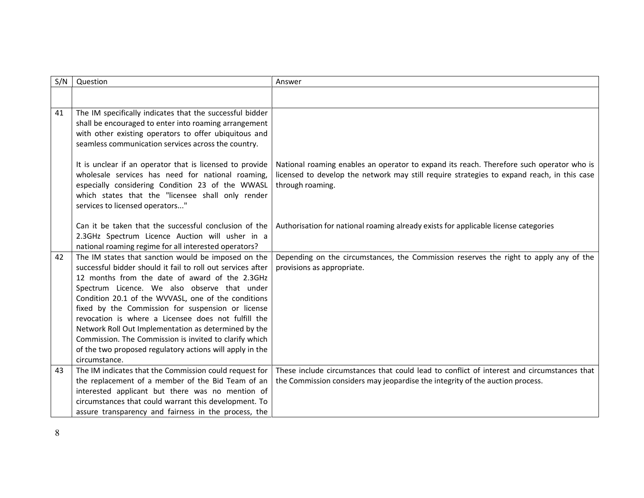| S/N | Question                                                                                                 | Answer                                                                                     |
|-----|----------------------------------------------------------------------------------------------------------|--------------------------------------------------------------------------------------------|
|     |                                                                                                          |                                                                                            |
|     |                                                                                                          |                                                                                            |
| 41  | The IM specifically indicates that the successful bidder                                                 |                                                                                            |
|     | shall be encouraged to enter into roaming arrangement                                                    |                                                                                            |
|     | with other existing operators to offer ubiquitous and                                                    |                                                                                            |
|     | seamless communication services across the country.                                                      |                                                                                            |
|     | It is unclear if an operator that is licensed to provide                                                 | National roaming enables an operator to expand its reach. Therefore such operator who is   |
|     | wholesale services has need for national roaming,                                                        | licensed to develop the network may still require strategies to expand reach, in this case |
|     | especially considering Condition 23 of the WWASL                                                         | through roaming.                                                                           |
|     | which states that the "licensee shall only render                                                        |                                                                                            |
|     | services to licensed operators"                                                                          |                                                                                            |
|     |                                                                                                          |                                                                                            |
|     | Can it be taken that the successful conclusion of the                                                    | Authorisation for national roaming already exists for applicable license categories        |
|     | 2.3GHz Spectrum Licence Auction will usher in a                                                          |                                                                                            |
|     | national roaming regime for all interested operators?                                                    |                                                                                            |
| 42  | The IM states that sanction would be imposed on the                                                      | Depending on the circumstances, the Commission reserves the right to apply any of the      |
|     | successful bidder should it fail to roll out services after                                              | provisions as appropriate.                                                                 |
|     | 12 months from the date of award of the 2.3GHz                                                           |                                                                                            |
|     | Spectrum Licence. We also observe that under                                                             |                                                                                            |
|     | Condition 20.1 of the WVVASL, one of the conditions<br>fixed by the Commission for suspension or license |                                                                                            |
|     | revocation is where a Licensee does not fulfill the                                                      |                                                                                            |
|     | Network Roll Out Implementation as determined by the                                                     |                                                                                            |
|     | Commission. The Commission is invited to clarify which                                                   |                                                                                            |
|     | of the two proposed regulatory actions will apply in the                                                 |                                                                                            |
|     | circumstance.                                                                                            |                                                                                            |
| 43  | The IM indicates that the Commission could request for                                                   | These include circumstances that could lead to conflict of interest and circumstances that |
|     | the replacement of a member of the Bid Team of an                                                        | the Commission considers may jeopardise the integrity of the auction process.              |
|     | interested applicant but there was no mention of                                                         |                                                                                            |
|     | circumstances that could warrant this development. To                                                    |                                                                                            |
|     | assure transparency and fairness in the process, the                                                     |                                                                                            |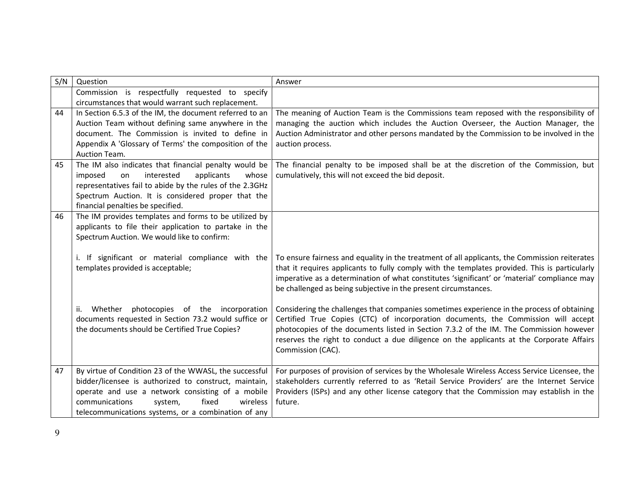| S/N | Question                                                                           | Answer                                                                                                                                       |
|-----|------------------------------------------------------------------------------------|----------------------------------------------------------------------------------------------------------------------------------------------|
|     | Commission is respectfully requested to specify                                    |                                                                                                                                              |
|     | circumstances that would warrant such replacement.                                 |                                                                                                                                              |
| 44  | In Section 6.5.3 of the IM, the document referred to an                            | The meaning of Auction Team is the Commissions team reposed with the responsibility of                                                       |
|     | Auction Team without defining same anywhere in the                                 | managing the auction which includes the Auction Overseer, the Auction Manager, the                                                           |
|     | document. The Commission is invited to define in                                   | Auction Administrator and other persons mandated by the Commission to be involved in the                                                     |
|     | Appendix A 'Glossary of Terms' the composition of the                              | auction process.                                                                                                                             |
|     | Auction Team.                                                                      |                                                                                                                                              |
| 45  | The IM also indicates that financial penalty would be<br>interested<br>whose<br>on | The financial penalty to be imposed shall be at the discretion of the Commission, but<br>cumulatively, this will not exceed the bid deposit. |
|     | imposed<br>applicants<br>representatives fail to abide by the rules of the 2.3GHz  |                                                                                                                                              |
|     | Spectrum Auction. It is considered proper that the                                 |                                                                                                                                              |
|     | financial penalties be specified.                                                  |                                                                                                                                              |
| 46  | The IM provides templates and forms to be utilized by                              |                                                                                                                                              |
|     | applicants to file their application to partake in the                             |                                                                                                                                              |
|     | Spectrum Auction. We would like to confirm:                                        |                                                                                                                                              |
|     |                                                                                    |                                                                                                                                              |
|     | i. If significant or material compliance with the                                  | To ensure fairness and equality in the treatment of all applicants, the Commission reiterates                                                |
|     | templates provided is acceptable;                                                  | that it requires applicants to fully comply with the templates provided. This is particularly                                                |
|     |                                                                                    | imperative as a determination of what constitutes 'significant' or 'material' compliance may                                                 |
|     |                                                                                    | be challenged as being subjective in the present circumstances.                                                                              |
|     | Whether photocopies of the incorporation<br>ii.                                    | Considering the challenges that companies sometimes experience in the process of obtaining                                                   |
|     | documents requested in Section 73.2 would suffice or                               | Certified True Copies (CTC) of incorporation documents, the Commission will accept                                                           |
|     | the documents should be Certified True Copies?                                     | photocopies of the documents listed in Section 7.3.2 of the IM. The Commission however                                                       |
|     |                                                                                    | reserves the right to conduct a due diligence on the applicants at the Corporate Affairs                                                     |
|     |                                                                                    | Commission (CAC).                                                                                                                            |
|     |                                                                                    |                                                                                                                                              |
| 47  | By virtue of Condition 23 of the WWASL, the successful                             | For purposes of provision of services by the Wholesale Wireless Access Service Licensee, the                                                 |
|     | bidder/licensee is authorized to construct, maintain,                              | stakeholders currently referred to as 'Retail Service Providers' are the Internet Service                                                    |
|     | operate and use a network consisting of a mobile                                   | Providers (ISPs) and any other license category that the Commission may establish in the                                                     |
|     | communications<br>fixed<br>wireless<br>system,                                     | future.                                                                                                                                      |
|     | telecommunications systems, or a combination of any                                |                                                                                                                                              |